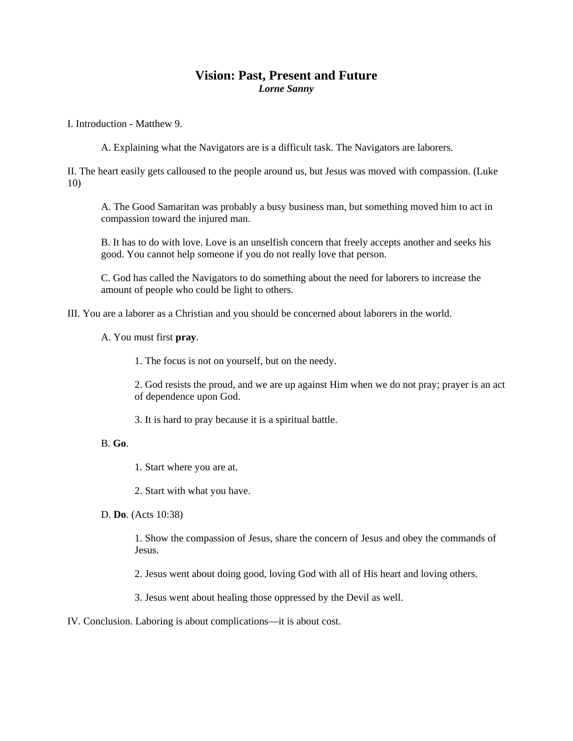## **Vision: Past, Present and Future**  *Lorne Sanny*

I. Introduction - Matthew 9.

A. Explaining what the Navigators are is a difficult task. The Navigators are laborers.

II. The heart easily gets calloused to the people around us, but Jesus was moved with compassion. (Luke 10)

A. The Good Samaritan was probably a busy business man, but something moved him to act in compassion toward the injured man.

B. It has to do with love. Love is an unselfish concern that freely accepts another and seeks his good. You cannot help someone if you do not really love that person.

C. God has called the Navigators to do something about the need for laborers to increase the amount of people who could be light to others.

III. You are a laborer as a Christian and you should be concerned about laborers in the world.

A. You must first **pray**.

1. The focus is not on yourself, but on the needy.

2. God resists the proud, and we are up against Him when we do not pray; prayer is an act of dependence upon God.

3. It is hard to pray because it is a spiritual battle.

## B. **Go**.

1. Start where you are at.

2. Start with what you have.

D. **Do**. (Acts 10:38)

1. Show the compassion of Jesus, share the concern of Jesus and obey the commands of Jesus.

2. Jesus went about doing good, loving God with all of His heart and loving others.

3. Jesus went about healing those oppressed by the Devil as well.

IV. Conclusion. Laboring is about complications—it is about cost.